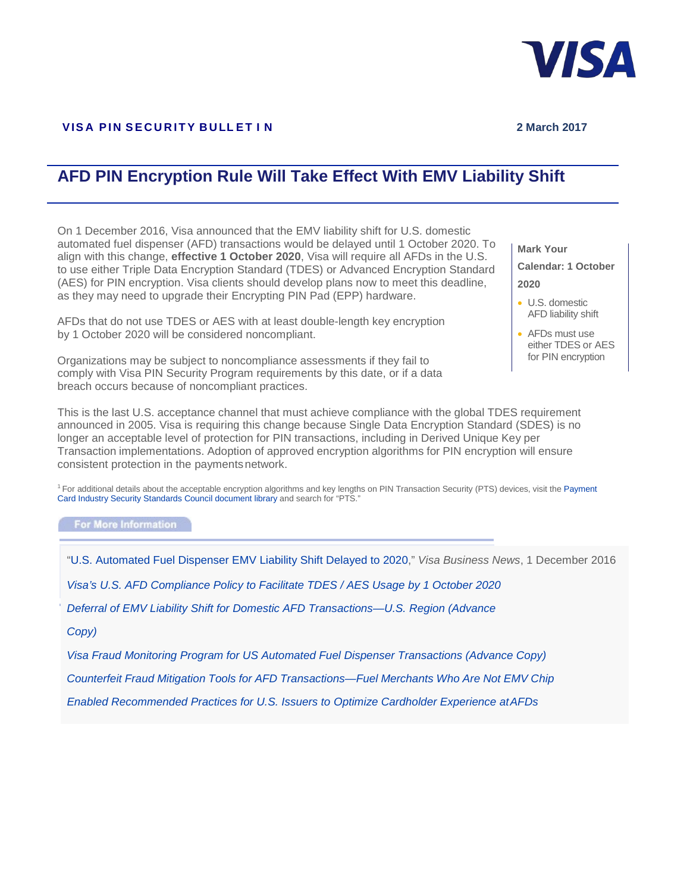

## **VISA PIN SECURITY BULLET I N** 2 March 2017

## **AFD PIN Encryption Rule Will Take Effect With EMV Liability Shift**

On 1 December 2016, Visa announced that the EMV liability shift for U.S. domestic automated fuel dispenser (AFD) transactions would be delayed until 1 October 2020. To align with this change, **effective 1 October 2020**, Visa will require all AFDs in the U.S. to use either Triple Data Encryption Standard (TDES) or Advanced Encryption Standard (AES) for PIN encryption. Visa clients should develop plans now to meet this deadline, as they may need to upgrade their Encrypting PIN Pad (EPP) hardware.

AFDs that do not use TDES or AES with at least double-length key encryption by 1 October 2020 will be considered noncompliant.

Organizations may be subject to noncompliance assessments if they fail to comply with Visa PIN Security Program requirements by this date, or if a data breach occurs because of noncompliant practices.

**Mark Your Calendar: 1 October 2020**

- U.S. domestic AFD liability shift
- AFDs must use either TDES or AES for PIN encryption

This is the last U.S. acceptance channel that must achieve compliance with the global TDES requirement announced in 2005. Visa is requiring this change because Single Data Encryption Standard (SDES) is no longer an acceptable level of protection for PIN transactions, including in Derived Unique Key per Transaction implementations. Adoption of approved encryption algorithms for PIN encryption will ensure consistent protection in the paymentsnetwork.

<sup>1</sup> For additional details about the acceptable encryption algorithms and key lengths on PIN Transaction Security (PTS) devices, visit the Payment [Card](https://www.pcisecuritystandards.org/document_library) [Industry Security Standards Council document library](https://www.pcisecuritystandards.org/document_library) and search for "PTS."

For More Information

"U.S.[Automated Fue](mailto:pinusa@visa.com)l Dispenser EMV Liability Shift Delayed to 2020," *Visa Business News*, 1 December 2016

*[Visa's U.S. AFD Compliance Policy to Facilitate TDES / AES Usage by 1 October 2020](https://usa.visa.com/dam/VCOM/global/partner-with-us/documents/cisp-update-tdes-022017-v2.pdf)*

*[Deferral of EMV Liability Shift for Domestic AFD Transactions—U.S. Region \(Advance](https://secure.visaonline.com/_layouts/GVOL/GVOLStream.aspx?filename=%5Croot%5Ctemplatedata%5CGVOL%20General%5CDocument%5Cassets%5CVBN%5C2017%5C6038-advance_copy.pdf)* 

*[Copy\)](https://secure.visaonline.com/_layouts/GVOL/GVOLStream.aspx?filename=%5Croot%5Ctemplatedata%5CGVOL%20General%5CDocument%5Cassets%5CVBN%5C2017%5C6038-advance_copy.pdf)*

*[Visa Fraud Monitoring Program for US Automated Fuel Dispenser Transactions \(Advance Copy\)](https://secure.visaonline.com/_layouts/GVOL/GVOLStream.aspx?filename=%5Croot%5Ctemplatedata%5CGVOL%20General%5CDocument%5Cassets%5CVBN%5C2017_Q1%5C6143-advance-copy.pdf)*

*Counterfeit Fraud Mitigation Tools for AFD Transactions—Fuel Merchants Who Are Not EMV Chip*

*Enabled Recommended Practices for U.S. Issuers to Optimize Cardholder Experience atAFDs*